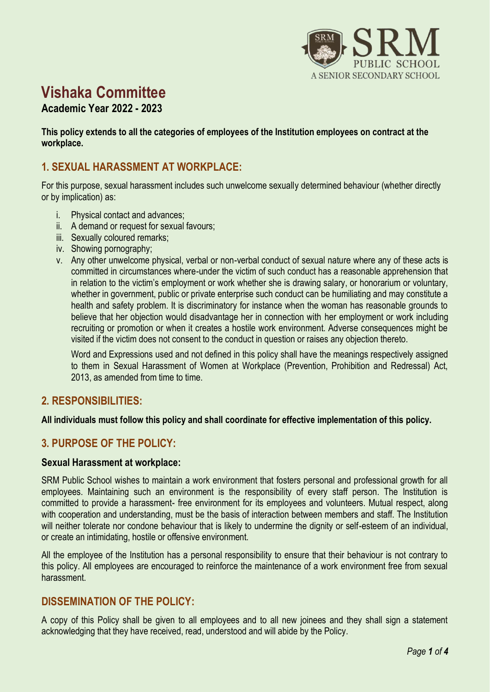

# **Vishaka Committee**

## **Academic Year 2022 - 2023**

**This policy extends to all the categories of employees of the Institution employees on contract at the workplace.**

# **1. SEXUAL HARASSMENT AT WORKPLACE:**

For this purpose, sexual harassment includes such unwelcome sexually determined behaviour (whether directly or by implication) as:

- i. Physical contact and advances;
- ii. A demand or request for sexual favours;
- iii. Sexually coloured remarks;
- iv. Showing pornography;
- v. Any other unwelcome physical, verbal or non-verbal conduct of sexual nature where any of these acts is committed in circumstances where-under the victim of such conduct has a reasonable apprehension that in relation to the victim's employment or work whether she is drawing salary, or honorarium or voluntary, whether in government, public or private enterprise such conduct can be humiliating and may constitute a health and safety problem. It is discriminatory for instance when the woman has reasonable grounds to believe that her objection would disadvantage her in connection with her employment or work including recruiting or promotion or when it creates a hostile work environment. Adverse consequences might be visited if the victim does not consent to the conduct in question or raises any objection thereto.

Word and Expressions used and not defined in this policy shall have the meanings respectively assigned to them in Sexual Harassment of Women at Workplace (Prevention, Prohibition and Redressal) Act, 2013, as amended from time to time.

## **2. RESPONSIBILITIES:**

**All individuals must follow this policy and shall coordinate for effective implementation of this policy.**

## **3. PURPOSE OF THE POLICY:**

#### **Sexual Harassment at workplace:**

SRM Public School wishes to maintain a work environment that fosters personal and professional growth for all employees. Maintaining such an environment is the responsibility of every staff person. The Institution is committed to provide a harassment- free environment for its employees and volunteers. Mutual respect, along with cooperation and understanding, must be the basis of interaction between members and staff. The Institution will neither tolerate nor condone behaviour that is likely to undermine the dignity or self-esteem of an individual, or create an intimidating, hostile or offensive environment.

All the employee of the Institution has a personal responsibility to ensure that their behaviour is not contrary to this policy. All employees are encouraged to reinforce the maintenance of a work environment free from sexual harassment.

## **DISSEMINATION OF THE POLICY:**

A copy of this Policy shall be given to all employees and to all new joinees and they shall sign a statement acknowledging that they have received, read, understood and will abide by the Policy.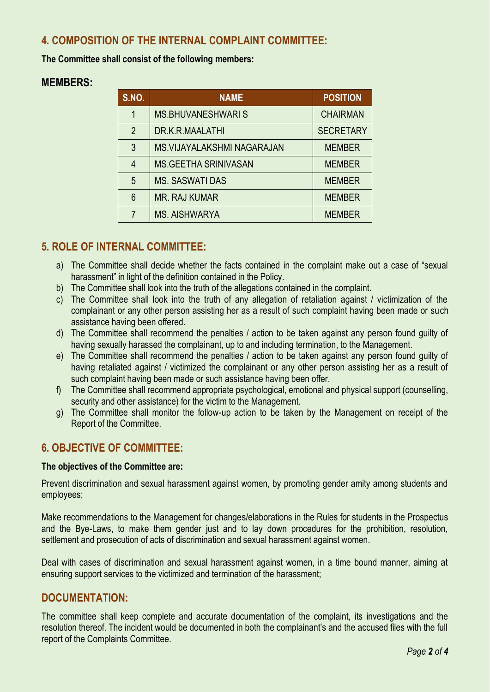# **4. COMPOSITION OF THE INTERNAL COMPLAINT COMMITTEE:**

**The Committee shall consist of the following members:**

## **MEMBERS:**

| <b>S.NO.</b>   | <b>NAME</b>                 | <b>POSITION</b>  |
|----------------|-----------------------------|------------------|
| 1              | <b>MS.BHUVANESHWARIS</b>    | <b>CHAIRMAN</b>  |
| $\overline{2}$ | DR.K.R.MAALATHI             | <b>SECRETARY</b> |
| 3              | MS. VIJAYALAKSHMI NAGARAJAN | <b>MEMBER</b>    |
| 4              | <b>MS.GEETHA SRINIVASAN</b> | <b>MEMBER</b>    |
| 5              | <b>MS. SASWATI DAS</b>      | <b>MEMBER</b>    |
| 6              | <b>MR. RAJ KUMAR</b>        | <b>MEMBER</b>    |
| 7              | <b>MS. AISHWARYA</b>        | <b>MEMBER</b>    |

## **5. ROLE OF INTERNAL COMMITTEE:**

- a) The Committee shall decide whether the facts contained in the complaint make out a case of "sexual harassment" in light of the definition contained in the Policy.
- b) The Committee shall look into the truth of the allegations contained in the complaint.
- c) The Committee shall look into the truth of any allegation of retaliation against / victimization of the complainant or any other person assisting her as a result of such complaint having been made or such assistance having been offered.
- d) The Committee shall recommend the penalties / action to be taken against any person found guilty of having sexually harassed the complainant, up to and including termination, to the Management.
- e) The Committee shall recommend the penalties / action to be taken against any person found guilty of having retaliated against / victimized the complainant or any other person assisting her as a result of such complaint having been made or such assistance having been offer.
- f) The Committee shall recommend appropriate psychological, emotional and physical support (counselling, security and other assistance) for the victim to the Management.
- g) The Committee shall monitor the follow-up action to be taken by the Management on receipt of the Report of the Committee.

# **6. OBJECTIVE OF COMMITTEE:**

#### **The objectives of the Committee are:**

Prevent discrimination and sexual harassment against women, by promoting gender amity among students and employees;

Make recommendations to the Management for changes/elaborations in the Rules for students in the Prospectus and the Bye-Laws, to make them gender just and to lay down procedures for the prohibition, resolution, settlement and prosecution of acts of discrimination and sexual harassment against women.

Deal with cases of discrimination and sexual harassment against women, in a time bound manner, aiming at ensuring support services to the victimized and termination of the harassment;

## **DOCUMENTATION:**

The committee shall keep complete and accurate documentation of the complaint, its investigations and the resolution thereof. The incident would be documented in both the complainant's and the accused files with the full report of the Complaints Committee.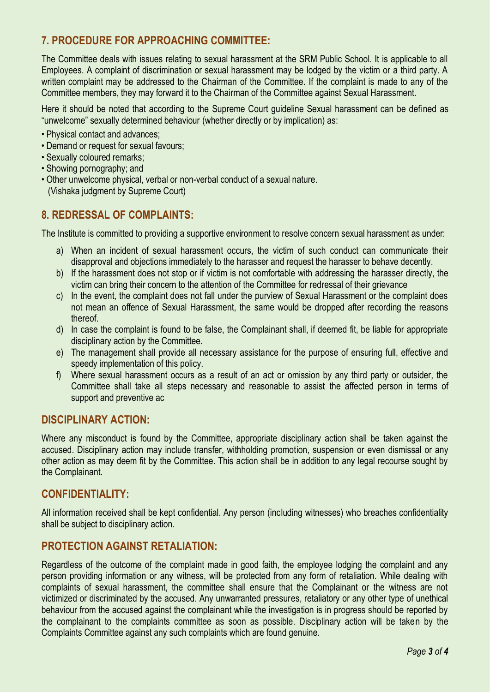# **7. PROCEDURE FOR APPROACHING COMMITTEE:**

The Committee deals with issues relating to sexual harassment at the SRM Public School. It is applicable to all Employees. A complaint of discrimination or sexual harassment may be lodged by the victim or a third party. A written complaint may be addressed to the Chairman of the Committee. If the complaint is made to any of the Committee members, they may forward it to the Chairman of the Committee against Sexual Harassment.

Here it should be noted that according to the Supreme Court guideline Sexual harassment can be defined as "unwelcome" sexually determined behaviour (whether directly or by implication) as:

- Physical contact and advances;
- Demand or request for sexual favours;
- Sexually coloured remarks;
- Showing pornography; and
- Other unwelcome physical, verbal or non-verbal conduct of a sexual nature. (Vishaka judgment by Supreme Court)

## **8. REDRESSAL OF COMPLAINTS:**

The Institute is committed to providing a supportive environment to resolve concern sexual harassment as under:

- a) When an incident of sexual harassment occurs, the victim of such conduct can communicate their disapproval and objections immediately to the harasser and request the harasser to behave decently.
- b) If the harassment does not stop or if victim is not comfortable with addressing the harasser directly, the victim can bring their concern to the attention of the Committee for redressal of their grievance
- c) In the event, the complaint does not fall under the purview of Sexual Harassment or the complaint does not mean an offence of Sexual Harassment, the same would be dropped after recording the reasons thereof.
- d) In case the complaint is found to be false, the Complainant shall, if deemed fit, be liable for appropriate disciplinary action by the Committee.
- e) The management shall provide all necessary assistance for the purpose of ensuring full, effective and speedy implementation of this policy.
- f) Where sexual harassment occurs as a result of an act or omission by any third party or outsider, the Committee shall take all steps necessary and reasonable to assist the affected person in terms of support and preventive ac

## **DISCIPLINARY ACTION:**

Where any misconduct is found by the Committee, appropriate disciplinary action shall be taken against the accused. Disciplinary action may include transfer, withholding promotion, suspension or even dismissal or any other action as may deem fit by the Committee. This action shall be in addition to any legal recourse sought by the Complainant.

## **CONFIDENTIALITY:**

All information received shall be kept confidential. Any person (including witnesses) who breaches confidentiality shall be subject to disciplinary action.

## **PROTECTION AGAINST RETALIATION:**

Regardless of the outcome of the complaint made in good faith, the employee lodging the complaint and any person providing information or any witness, will be protected from any form of retaliation. While dealing with complaints of sexual harassment, the committee shall ensure that the Complainant or the witness are not victimized or discriminated by the accused. Any unwarranted pressures, retaliatory or any other type of unethical behaviour from the accused against the complainant while the investigation is in progress should be reported by the complainant to the complaints committee as soon as possible. Disciplinary action will be taken by the Complaints Committee against any such complaints which are found genuine.